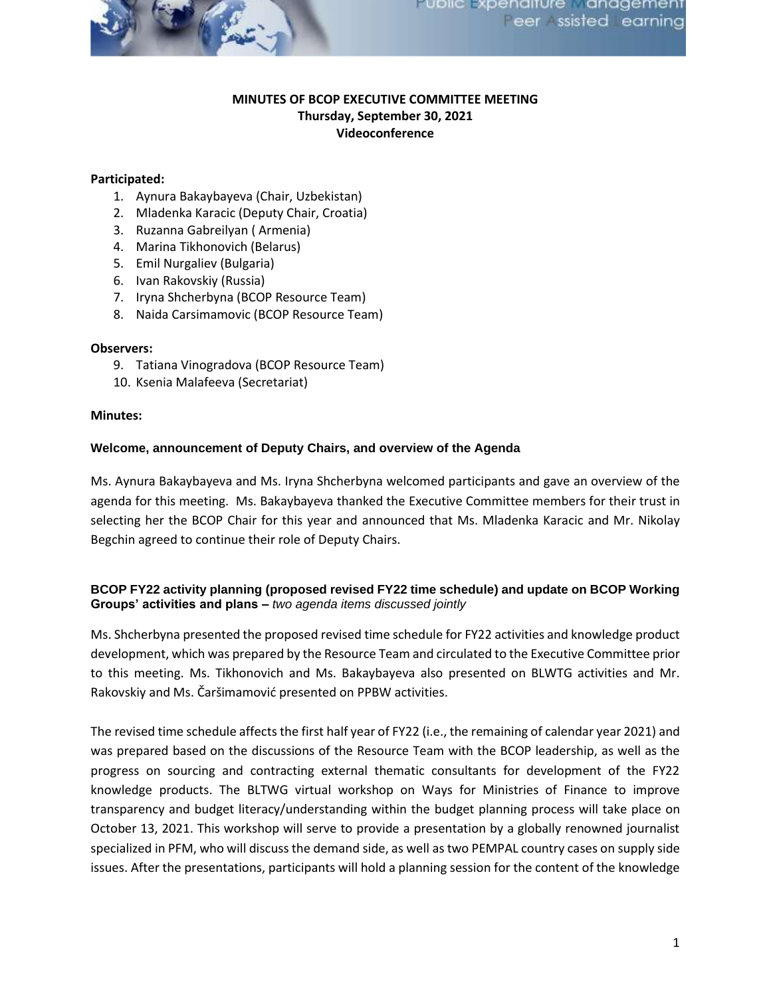

# **MINUTES OF BCOP EXECUTIVE COMMITTEE MEETING Thursday, September 30, 2021 Videoconference**

## **Participated:**

- 1. Aynura Bakaybayeva (Chair, Uzbekistan)
- 2. Mladenka Karacic (Deputy Chair, Croatia)
- 3. Ruzanna Gabreilyan ( Armenia)
- 4. Marina Tikhonovich (Belarus)
- 5. Emil Nurgaliev (Bulgaria)
- 6. Ivan Rakovskiy (Russia)
- 7. Iryna Shcherbyna (BCOP Resource Team)
- 8. Naida Carsimamovic (BCOP Resource Team)

## **Observers:**

- 9. Tatiana Vinogradova (BCOP Resource Team)
- 10. Ksenia Malafeeva (Secretariat)

#### **Minutes:**

#### **Welcome, announcement of Deputy Chairs, and overview of the Agenda**

Ms. Aynura Bakaybayeva and Ms. Iryna Shcherbyna welcomed participants and gave an overview of the agenda for this meeting. Ms. Bakaybayeva thanked the Executive Committee members for their trust in selecting her the BCOP Chair for this year and announced that Ms. Mladenka Karacic and Mr. Nikolay Begchin agreed to continue their role of Deputy Chairs.

## **BCOP FY22 activity planning (proposed revised FY22 time schedule) and update on BCOP Working Groups' activities and plans –** *two agenda items discussed jointly*

Ms. Shcherbyna presented the proposed revised time schedule for FY22 activities and knowledge product development, which was prepared by the Resource Team and circulated to the Executive Committee prior to this meeting. Ms. Tikhonovich and Ms. Bakaybayeva also presented on BLWTG activities and Mr. Rakovskiy and Ms. Čaršimamović presented on PPBW activities.

The revised time schedule affects the first half year of FY22 (i.e., the remaining of calendar year 2021) and was prepared based on the discussions of the Resource Team with the BCOP leadership, as well as the progress on sourcing and contracting external thematic consultants for development of the FY22 knowledge products. The BLTWG virtual workshop on Ways for Ministries of Finance to improve transparency and budget literacy/understanding within the budget planning process will take place on October 13, 2021. This workshop will serve to provide a presentation by a globally renowned journalist specialized in PFM, who will discuss the demand side, as well as two PEMPAL country cases on supply side issues. After the presentations, participants will hold a planning session for the content of the knowledge